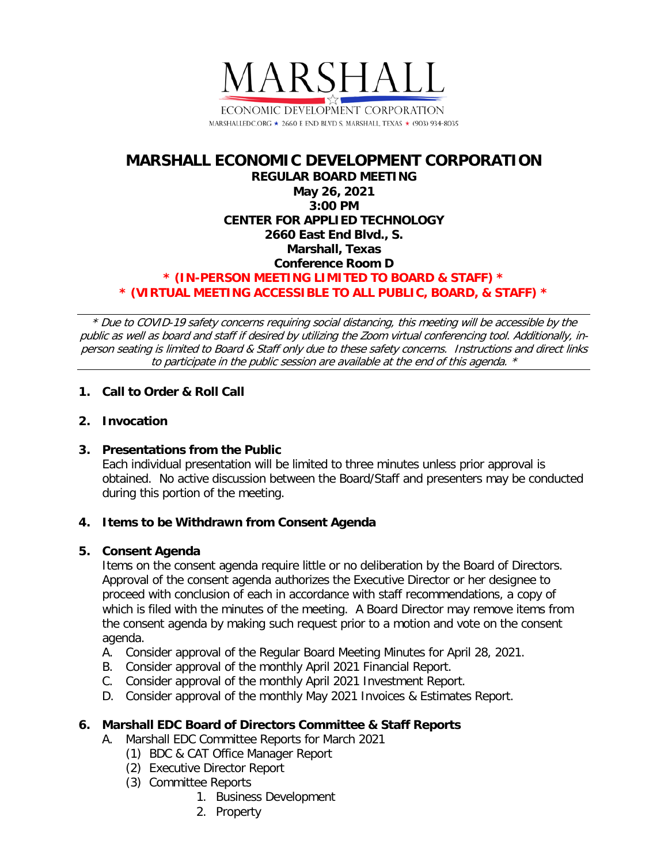

# **MARSHALL ECONOMIC DEVELOPMENT CORPORATION REGULAR BOARD MEETING May 26, 2021 3:00 PM CENTER FOR APPLIED TECHNOLOGY 2660 East End Blvd., S. Marshall, Texas Conference Room D \* (IN-PERSON MEETING LIMITED TO BOARD & STAFF) \* \* (VIRTUAL MEETING ACCESSIBLE TO ALL PUBLIC, BOARD, & STAFF) \***

\* Due to COVID-19 safety concerns requiring social distancing, this meeting will be accessible by the public as well as board and staff if desired by utilizing the Zoom virtual conferencing tool. Additionally, inperson seating is limited to Board & Staff only due to these safety concerns. Instructions and direct links to participate in the public session are available at the end of this agenda. \*

## **1. Call to Order & Roll Call**

## **2. Invocation**

## **3. Presentations from the Public**

Each individual presentation will be limited to three minutes unless prior approval is obtained. No active discussion between the Board/Staff and presenters may be conducted during this portion of the meeting.

## **4. Items to be Withdrawn from Consent Agenda**

## **5. Consent Agenda**

Items on the consent agenda require little or no deliberation by the Board of Directors. Approval of the consent agenda authorizes the Executive Director or her designee to proceed with conclusion of each in accordance with staff recommendations, a copy of which is filed with the minutes of the meeting. A Board Director may remove items from the consent agenda by making such request prior to a motion and vote on the consent agenda.

- A. Consider approval of the Regular Board Meeting Minutes for April 28, 2021.
- B. Consider approval of the monthly April 2021 Financial Report.
- C. Consider approval of the monthly April 2021 Investment Report.
- D. Consider approval of the monthly May 2021 Invoices & Estimates Report.

## **6. Marshall EDC Board of Directors Committee & Staff Reports**

- A. Marshall EDC Committee Reports for March 2021
	- (1) BDC & CAT Office Manager Report
	- (2) Executive Director Report
	- (3) Committee Reports
		- 1. Business Development
		- 2. Property